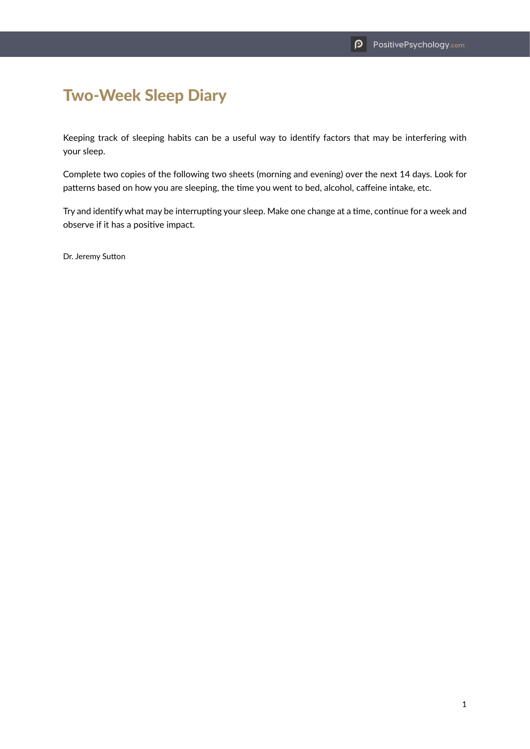## Two-Week Sleep Diary

Keeping track of sleeping habits can be a useful way to identify factors that may be interfering with your sleep.

Complete two copies of the following two sheets (morning and evening) over the next 14 days. Look for patterns based on how you are sleeping, the time you went to bed, alcohol, caffeine intake, etc.

Try and identify what may be interrupting your sleep. Make one change at a time, continue for a week and observe if it has a positive impact.

Dr. Jeremy Sutton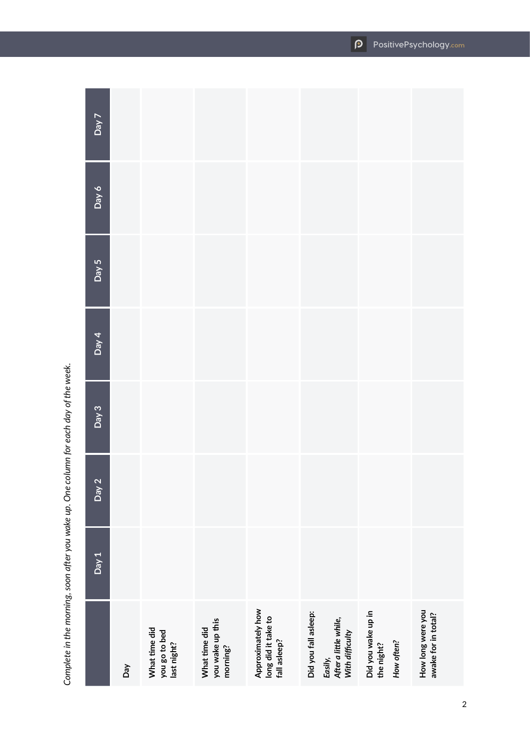|                    | Day | What time did<br>you go to bed<br>last night? | you wake up this<br>What time did<br>morning? | Approximately how<br>long did it take to<br>fall asleep? | Did you fall asleep:<br>Easily,<br>After a little while,<br>With difficulty | Did you wake up in<br>the night?<br>How often? | How long were you<br>awake for in total? |
|--------------------|-----|-----------------------------------------------|-----------------------------------------------|----------------------------------------------------------|-----------------------------------------------------------------------------|------------------------------------------------|------------------------------------------|
| Day 1              |     |                                               |                                               |                                                          |                                                                             |                                                |                                          |
| Day 2              |     |                                               |                                               |                                                          |                                                                             |                                                |                                          |
| Day 3              |     |                                               |                                               |                                                          |                                                                             |                                                |                                          |
| Day 4              |     |                                               |                                               |                                                          |                                                                             |                                                |                                          |
| $\overline{Day 5}$ |     |                                               |                                               |                                                          |                                                                             |                                                |                                          |
| $6$ AeQ            |     |                                               |                                               |                                                          |                                                                             |                                                |                                          |
| Day 7              |     |                                               |                                               |                                                          |                                                                             |                                                |                                          |

Complete in the morning, soon after you wake up. One column for each day of the week. *Complete in the morning, soon after you wake up. One column for each day of the week.*

**PositivePsychology.com**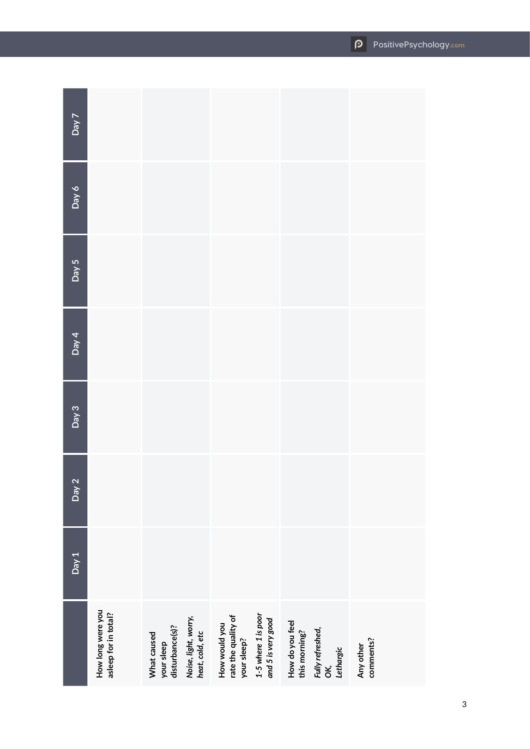|                          | How long were you<br>asleep for in total? | Noise, light, worry,<br>heat, cold, etc<br>your sleep<br>disturbance(s)?<br>What caused | 1-5 where 1 is poor<br>and 5 is very good<br>rate the quality of<br>How would you<br>your sleep? | How do you feel<br>this morning?<br>Fully refreshed,<br>OK,<br>Lethargic | comments?<br>Any other |
|--------------------------|-------------------------------------------|-----------------------------------------------------------------------------------------|--------------------------------------------------------------------------------------------------|--------------------------------------------------------------------------|------------------------|
| Day 1                    |                                           |                                                                                         |                                                                                                  |                                                                          |                        |
| $\mathbf{\Omega}$<br>Ved |                                           |                                                                                         |                                                                                                  |                                                                          |                        |
| Day 3                    |                                           |                                                                                         |                                                                                                  |                                                                          |                        |
| Day 4                    |                                           |                                                                                         |                                                                                                  |                                                                          |                        |
| Day 5                    |                                           |                                                                                         |                                                                                                  |                                                                          |                        |
| $\delta$ yed             |                                           |                                                                                         |                                                                                                  |                                                                          |                        |
| Day 7                    |                                           |                                                                                         |                                                                                                  |                                                                          |                        |

**Contract**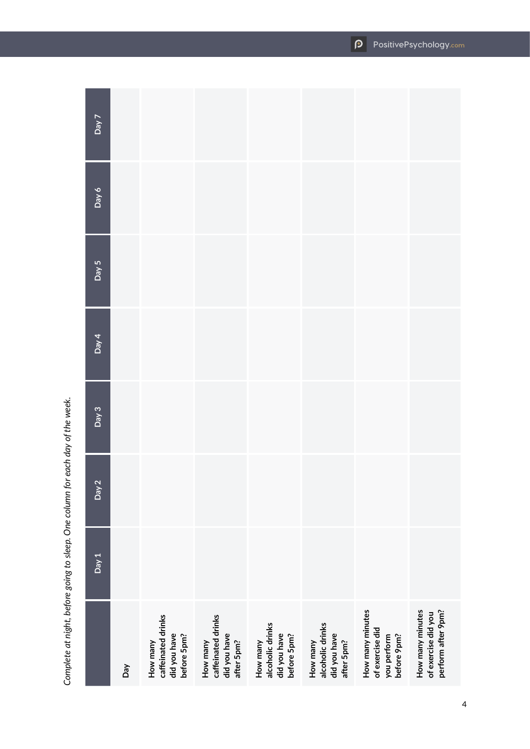|                    | Day | caffeinated drinks<br>did you have<br>before 5pm?<br>How many | How many<br>caffeinated drinks<br>did you have<br>after 5pm? | alcoholic drinks<br>did you have<br>before 5pm?<br>How many | How many<br>alcoholic drinks<br>did you have<br>after 5pm? | How many minutes<br>of exercise did<br>before 9pm?<br>you perform | How many minutes<br>perform after 9pm?<br>of exercise did you |
|--------------------|-----|---------------------------------------------------------------|--------------------------------------------------------------|-------------------------------------------------------------|------------------------------------------------------------|-------------------------------------------------------------------|---------------------------------------------------------------|
| Day 1              |     |                                                               |                                                              |                                                             |                                                            |                                                                   |                                                               |
| Day 2              |     |                                                               |                                                              |                                                             |                                                            |                                                                   |                                                               |
| $\overline{Day 3}$ |     |                                                               |                                                              |                                                             |                                                            |                                                                   |                                                               |
| Day 4              |     |                                                               |                                                              |                                                             |                                                            |                                                                   |                                                               |
| $\overline{Day 5}$ |     |                                                               |                                                              |                                                             |                                                            |                                                                   |                                                               |
| Day $6$            |     |                                                               |                                                              |                                                             |                                                            |                                                                   |                                                               |
| $\overline{Day7}$  |     |                                                               |                                                              |                                                             |                                                            |                                                                   |                                                               |

Complete at night, before going to sleep. One column for each day of the week. *Complete at night, before going to sleep. One column for each day of the week.*

**PositivePsychology.com**